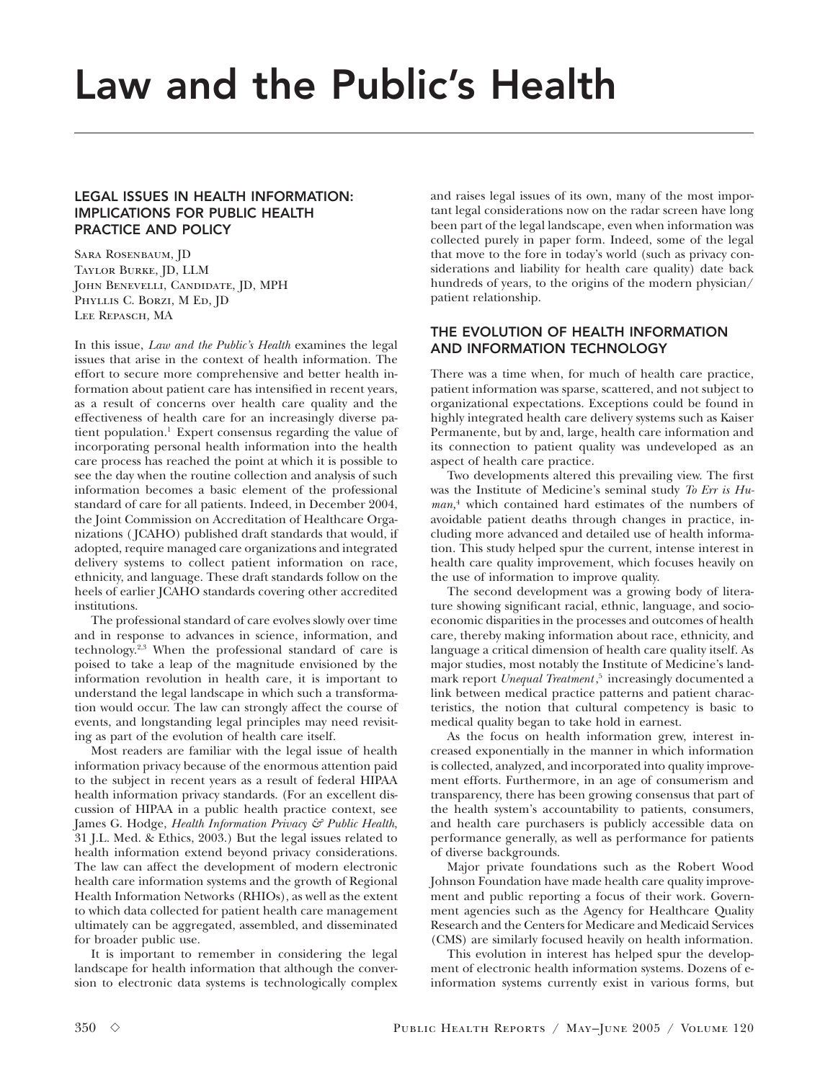# Law and the Public's Health

## LEGAL ISSUES IN HEALTH INFORMATION: IMPLICATIONS FOR PUBLIC HEALTH PRACTICE AND POLICY

Sara Rosenbaum, JD Taylor Burke, JD, LLM John Benevelli, Candidate, JD, MPH Phyllis C. Borzi, M Ed, JD Lee Repasch, MA

In this issue, *Law and the Public's Health* examines the legal issues that arise in the context of health information. The effort to secure more comprehensive and better health information about patient care has intensified in recent years, as a result of concerns over health care quality and the effectiveness of health care for an increasingly diverse patient population.<sup>1</sup> Expert consensus regarding the value of incorporating personal health information into the health care process has reached the point at which it is possible to see the day when the routine collection and analysis of such information becomes a basic element of the professional standard of care for all patients. Indeed, in December 2004, the Joint Commission on Accreditation of Healthcare Organizations ( JCAHO) published draft standards that would, if adopted, require managed care organizations and integrated delivery systems to collect patient information on race, ethnicity, and language. These draft standards follow on the heels of earlier JCAHO standards covering other accredited institutions.

The professional standard of care evolves slowly over time and in response to advances in science, information, and technology.2,3 When the professional standard of care is poised to take a leap of the magnitude envisioned by the information revolution in health care, it is important to understand the legal landscape in which such a transformation would occur. The law can strongly affect the course of events, and longstanding legal principles may need revisiting as part of the evolution of health care itself.

Most readers are familiar with the legal issue of health information privacy because of the enormous attention paid to the subject in recent years as a result of federal HIPAA health information privacy standards. (For an excellent discussion of HIPAA in a public health practice context, see James G. Hodge, *Health Information Privacy & Public Health*, 31 J.L. Med. & Ethics, 2003.) But the legal issues related to health information extend beyond privacy considerations. The law can affect the development of modern electronic health care information systems and the growth of Regional Health Information Networks (RHIOs), as well as the extent to which data collected for patient health care management ultimately can be aggregated, assembled, and disseminated for broader public use.

It is important to remember in considering the legal landscape for health information that although the conversion to electronic data systems is technologically complex and raises legal issues of its own, many of the most important legal considerations now on the radar screen have long been part of the legal landscape, even when information was collected purely in paper form. Indeed, some of the legal that move to the fore in today's world (such as privacy considerations and liability for health care quality) date back hundreds of years, to the origins of the modern physician/ patient relationship.

# THE EVOLUTION OF HEALTH INFORMATION AND INFORMATION TECHNOLOGY

There was a time when, for much of health care practice, patient information was sparse, scattered, and not subject to organizational expectations. Exceptions could be found in highly integrated health care delivery systems such as Kaiser Permanente, but by and, large, health care information and its connection to patient quality was undeveloped as an aspect of health care practice.

Two developments altered this prevailing view. The first was the Institute of Medicine's seminal study *To Err is Human,*<sup>4</sup> which contained hard estimates of the numbers of avoidable patient deaths through changes in practice, including more advanced and detailed use of health information. This study helped spur the current, intense interest in health care quality improvement, which focuses heavily on the use of information to improve quality.

The second development was a growing body of literature showing significant racial, ethnic, language, and socioeconomic disparities in the processes and outcomes of health care, thereby making information about race, ethnicity, and language a critical dimension of health care quality itself. As major studies, most notably the Institute of Medicine's landmark report *Unequal Treatment* , <sup>5</sup> increasingly documented a link between medical practice patterns and patient characteristics, the notion that cultural competency is basic to medical quality began to take hold in earnest.

As the focus on health information grew, interest increased exponentially in the manner in which information is collected, analyzed, and incorporated into quality improvement efforts. Furthermore, in an age of consumerism and transparency, there has been growing consensus that part of the health system's accountability to patients, consumers, and health care purchasers is publicly accessible data on performance generally, as well as performance for patients of diverse backgrounds.

Major private foundations such as the Robert Wood Johnson Foundation have made health care quality improvement and public reporting a focus of their work. Government agencies such as the Agency for Healthcare Quality Research and the Centers for Medicare and Medicaid Services (CMS) are similarly focused heavily on health information.

This evolution in interest has helped spur the development of electronic health information systems. Dozens of einformation systems currently exist in various forms, but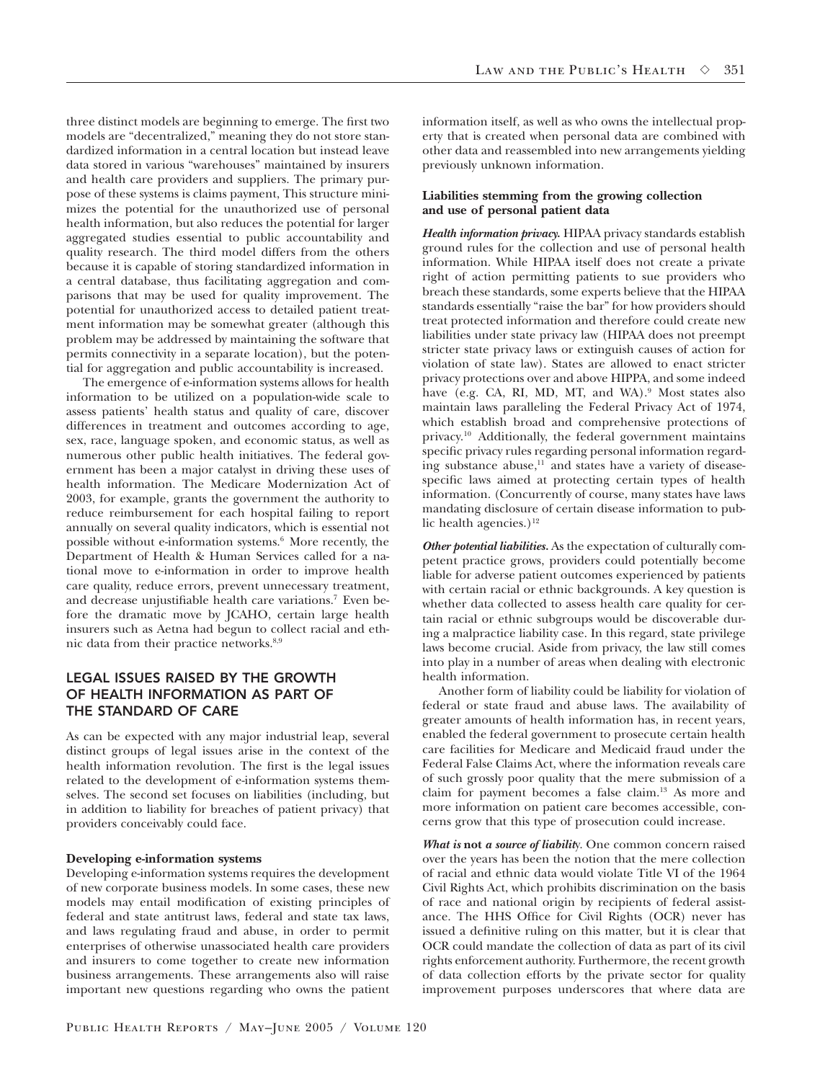three distinct models are beginning to emerge. The first two models are "decentralized," meaning they do not store standardized information in a central location but instead leave data stored in various "warehouses" maintained by insurers and health care providers and suppliers. The primary purpose of these systems is claims payment, This structure minimizes the potential for the unauthorized use of personal health information, but also reduces the potential for larger aggregated studies essential to public accountability and quality research. The third model differs from the others because it is capable of storing standardized information in a central database, thus facilitating aggregation and comparisons that may be used for quality improvement. The potential for unauthorized access to detailed patient treatment information may be somewhat greater (although this problem may be addressed by maintaining the software that permits connectivity in a separate location), but the potential for aggregation and public accountability is increased.

The emergence of e-information systems allows for health information to be utilized on a population-wide scale to assess patients' health status and quality of care, discover differences in treatment and outcomes according to age, sex, race, language spoken, and economic status, as well as numerous other public health initiatives. The federal government has been a major catalyst in driving these uses of health information. The Medicare Modernization Act of 2003, for example, grants the government the authority to reduce reimbursement for each hospital failing to report annually on several quality indicators, which is essential not possible without e-information systems.6 More recently, the Department of Health & Human Services called for a national move to e-information in order to improve health care quality, reduce errors, prevent unnecessary treatment, and decrease unjustifiable health care variations.7 Even before the dramatic move by JCAHO, certain large health insurers such as Aetna had begun to collect racial and ethnic data from their practice networks.8,9

# LEGAL ISSUES RAISED BY THE GROWTH OF HEALTH INFORMATION AS PART OF THE STANDARD OF CARE

As can be expected with any major industrial leap, several distinct groups of legal issues arise in the context of the health information revolution. The first is the legal issues related to the development of e-information systems themselves. The second set focuses on liabilities (including, but in addition to liability for breaches of patient privacy) that providers conceivably could face.

## **Developing e-information systems**

Developing e-information systems requires the development of new corporate business models. In some cases, these new models may entail modification of existing principles of federal and state antitrust laws, federal and state tax laws, and laws regulating fraud and abuse, in order to permit enterprises of otherwise unassociated health care providers and insurers to come together to create new information business arrangements. These arrangements also will raise important new questions regarding who owns the patient

information itself, as well as who owns the intellectual property that is created when personal data are combined with other data and reassembled into new arrangements yielding previously unknown information.

#### **Liabilities stemming from the growing collection and use of personal patient data**

*Health information privacy.* HIPAA privacy standards establish ground rules for the collection and use of personal health information. While HIPAA itself does not create a private right of action permitting patients to sue providers who breach these standards, some experts believe that the HIPAA standards essentially "raise the bar" for how providers should treat protected information and therefore could create new liabilities under state privacy law (HIPAA does not preempt stricter state privacy laws or extinguish causes of action for violation of state law). States are allowed to enact stricter privacy protections over and above HIPPA, and some indeed have (e.g. CA, RI, MD, MT, and WA).<sup>9</sup> Most states also maintain laws paralleling the Federal Privacy Act of 1974, which establish broad and comprehensive protections of privacy.10 Additionally, the federal government maintains specific privacy rules regarding personal information regarding substance abuse,11 and states have a variety of diseasespecific laws aimed at protecting certain types of health information. (Concurrently of course, many states have laws mandating disclosure of certain disease information to public health agencies.)<sup>12</sup>

*Other potential liabilities.* As the expectation of culturally competent practice grows, providers could potentially become liable for adverse patient outcomes experienced by patients with certain racial or ethnic backgrounds. A key question is whether data collected to assess health care quality for certain racial or ethnic subgroups would be discoverable during a malpractice liability case. In this regard, state privilege laws become crucial. Aside from privacy, the law still comes into play in a number of areas when dealing with electronic health information.

Another form of liability could be liability for violation of federal or state fraud and abuse laws. The availability of greater amounts of health information has, in recent years, enabled the federal government to prosecute certain health care facilities for Medicare and Medicaid fraud under the Federal False Claims Act, where the information reveals care of such grossly poor quality that the mere submission of a claim for payment becomes a false claim.13 As more and more information on patient care becomes accessible, concerns grow that this type of prosecution could increase.

*What is* **not** *a source of liabilit*y. One common concern raised over the years has been the notion that the mere collection of racial and ethnic data would violate Title VI of the 1964 Civil Rights Act, which prohibits discrimination on the basis of race and national origin by recipients of federal assistance. The HHS Office for Civil Rights (OCR) never has issued a definitive ruling on this matter, but it is clear that OCR could mandate the collection of data as part of its civil rights enforcement authority. Furthermore, the recent growth of data collection efforts by the private sector for quality improvement purposes underscores that where data are